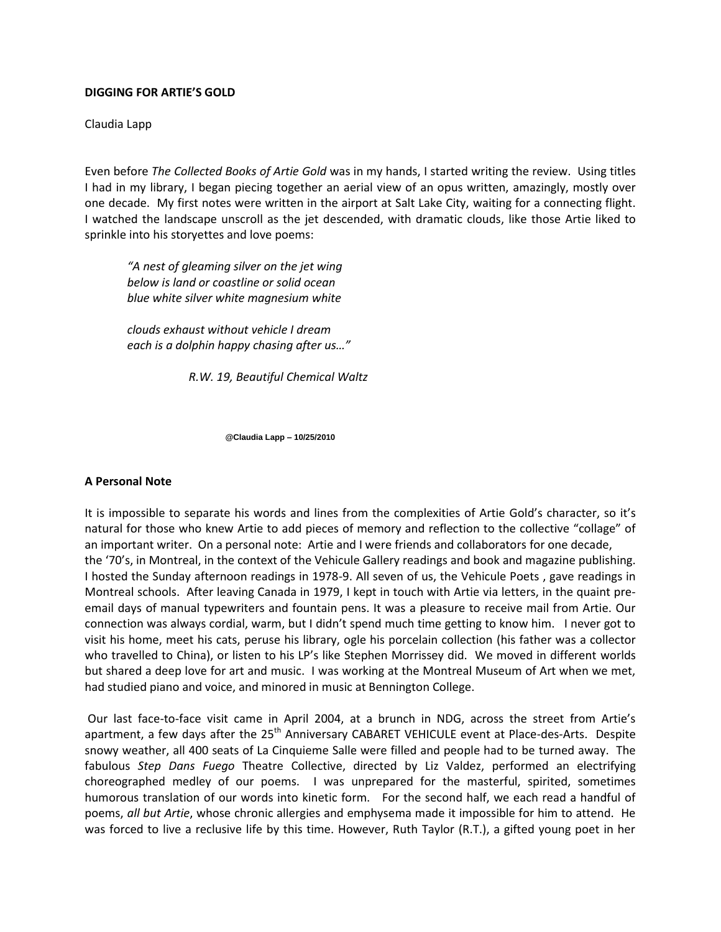#### **DIGGING FOR ARTIE'S GOLD**

Claudia Lapp

Even before *The Collected Books of Artie Gold* was in my hands, I started writing the review. Using titles I had in my library, I began piecing together an aerial view of an opus written, amazingly, mostly over one decade. My first notes were written in the airport at Salt Lake City, waiting for a connecting flight. I watched the landscape unscroll as the jet descended, with dramatic clouds, like those Artie liked to sprinkle into his storyettes and love poems:

*"A nest of gleaming silver on the jet wing below is land or coastline or solid ocean blue white silver white magnesium white*

*clouds exhaust without vehicle I dream each is a dolphin happy chasing after us…"*

 *R.W. 19, Beautiful Chemical Waltz*

 **@Claudia Lapp – 10/25/2010**

## **A Personal Note**

It is impossible to separate his words and lines from the complexities of Artie Gold's character, so it's natural for those who knew Artie to add pieces of memory and reflection to the collective "collage" of an important writer. On a personal note: Artie and I were friends and collaborators for one decade, the '70's, in Montreal, in the context of the Vehicule Gallery readings and book and magazine publishing. I hosted the Sunday afternoon readings in 1978-9. All seven of us, the Vehicule Poets , gave readings in Montreal schools. After leaving Canada in 1979, I kept in touch with Artie via letters, in the quaint preemail days of manual typewriters and fountain pens. It was a pleasure to receive mail from Artie. Our connection was always cordial, warm, but I didn't spend much time getting to know him. I never got to visit his home, meet his cats, peruse his library, ogle his porcelain collection (his father was a collector who travelled to China), or listen to his LP's like Stephen Morrissey did. We moved in different worlds but shared a deep love for art and music. I was working at the Montreal Museum of Art when we met, had studied piano and voice, and minored in music at Bennington College.

Our last face-to-face visit came in April 2004, at a brunch in NDG, across the street from Artie's apartment, a few days after the 25<sup>th</sup> Anniversary CABARET VEHICULE event at Place-des-Arts. Despite snowy weather, all 400 seats of La Cinquieme Salle were filled and people had to be turned away. The fabulous *Step Dans Fuego* Theatre Collective, directed by Liz Valdez, performed an electrifying choreographed medley of our poems. I was unprepared for the masterful, spirited, sometimes humorous translation of our words into kinetic form. For the second half, we each read a handful of poems, *all but Artie*, whose chronic allergies and emphysema made it impossible for him to attend. He was forced to live a reclusive life by this time. However, Ruth Taylor (R.T.), a gifted young poet in her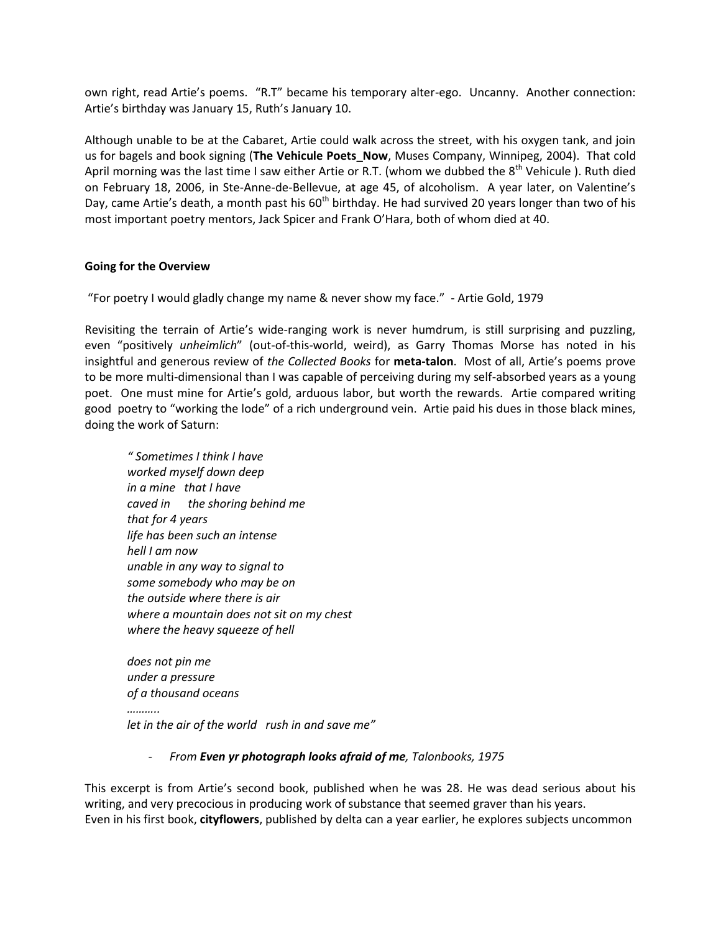own right, read Artie's poems. "R.T" became his temporary alter-ego. Uncanny. Another connection: Artie's birthday was January 15, Ruth's January 10.

Although unable to be at the Cabaret, Artie could walk across the street, with his oxygen tank, and join us for bagels and book signing (**The Vehicule Poets\_Now**, Muses Company, Winnipeg, 2004). That cold April morning was the last time I saw either Artie or R.T. (whom we dubbed the 8<sup>th</sup> Vehicule ). Ruth died on February 18, 2006, in Ste-Anne-de-Bellevue, at age 45, of alcoholism. A year later, on Valentine's Day, came Artie's death, a month past his 60<sup>th</sup> birthday. He had survived 20 years longer than two of his most important poetry mentors, Jack Spicer and Frank O'Hara, both of whom died at 40.

## **Going for the Overview**

"For poetry I would gladly change my name & never show my face." - Artie Gold, 1979

Revisiting the terrain of Artie's wide-ranging work is never humdrum, is still surprising and puzzling, even "positively *unheimlich*" (out-of-this-world, weird), as Garry Thomas Morse has noted in his insightful and generous review of *the Collected Books* for **meta-talon**. Most of all, Artie's poems prove to be more multi-dimensional than I was capable of perceiving during my self-absorbed years as a young poet. One must mine for Artie's gold, arduous labor, but worth the rewards. Artie compared writing good poetry to "working the lode" of a rich underground vein. Artie paid his dues in those black mines, doing the work of Saturn:

*" Sometimes I think I have worked myself down deep in a mine that I have caved in the shoring behind me that for 4 years life has been such an intense hell I am now unable in any way to signal to some somebody who may be on the outside where there is air where a mountain does not sit on my chest where the heavy squeeze of hell*

*does not pin me under a pressure of a thousand oceans ……….. let in the air of the world rush in and save me"*

## *- From Even yr photograph looks afraid of me, Talonbooks, 1975*

This excerpt is from Artie's second book, published when he was 28. He was dead serious about his writing, and very precocious in producing work of substance that seemed graver than his years. Even in his first book, **cityflowers**, published by delta can a year earlier, he explores subjects uncommon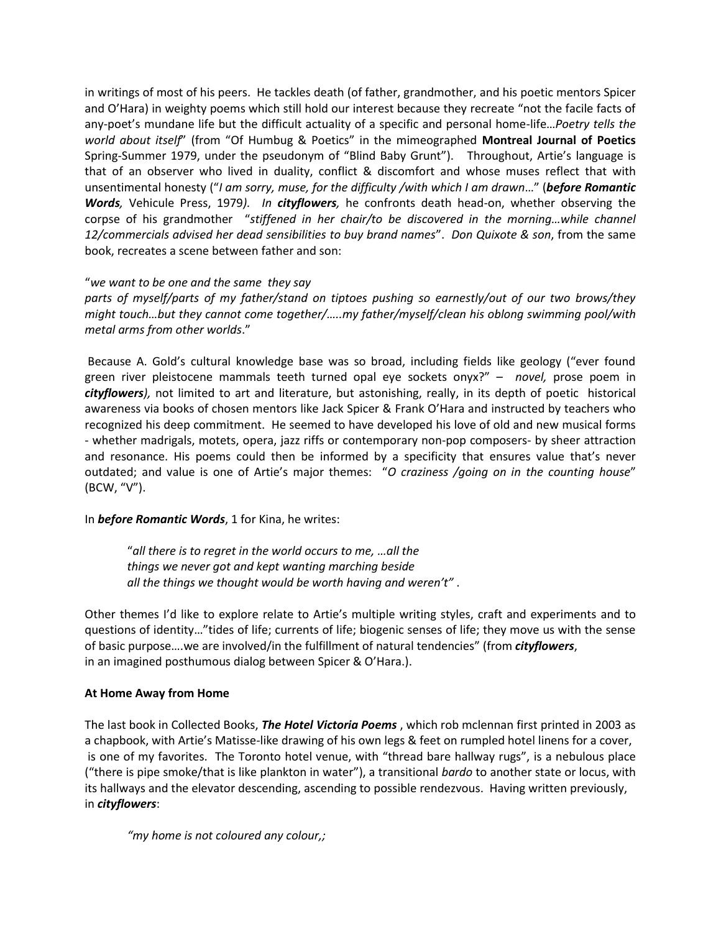in writings of most of his peers. He tackles death (of father, grandmother, and his poetic mentors Spicer and O'Hara) in weighty poems which still hold our interest because they recreate "not the facile facts of any-poet's mundane life but the difficult actuality of a specific and personal home-life…*Poetry tells the world about itself*" (from "Of Humbug & Poetics" in the mimeographed **Montreal Journal of Poetics** Spring-Summer 1979, under the pseudonym of "Blind Baby Grunt"). Throughout, Artie's language is that of an observer who lived in duality, conflict & discomfort and whose muses reflect that with unsentimental honesty ("*I am sorry, muse, for the difficulty /with which I am drawn*…" (*before Romantic* *Words,* Vehicule Press, 1979*). In cityflowers,* he confronts death head-on, whether observing the corpse of his grandmother "*stiffened in her chair/to be discovered in the morning…while channel 12/commercials advised her dead sensibilities to buy brand names*". *Don Quixote & son*, from the same book, recreates a scene between father and son:

## "*we want to be one and the same they say*

*parts of myself/parts of my father/stand on tiptoes pushing so earnestly/out of our two brows/they might touch…but they cannot come together/…..my father/myself/clean his oblong swimming pool/with metal arms from other worlds*."

Because A. Gold's cultural knowledge base was so broad, including fields like geology ("ever found green river pleistocene mammals teeth turned opal eye sockets onyx?" – *novel,* prose poem in *cityflowers),* not limited to art and literature, but astonishing, really, in its depth of poetic historical awareness via books of chosen mentors like Jack Spicer & Frank O'Hara and instructed by teachers who recognized his deep commitment. He seemed to have developed his love of old and new musical forms - whether madrigals, motets, opera, jazz riffs or contemporary non-pop composers- by sheer attraction and resonance. His poems could then be informed by a specificity that ensures value that's never outdated; and value is one of Artie's major themes: "*O craziness /going on in the counting house*" (BCW, "V").

# In *before Romantic Words*, 1 for Kina, he writes:

"*all there is to regret in the world occurs to me, …all the things we never got and kept wanting marching beside all the things we thought would be worth having and weren't"* .

Other themes I'd like to explore relate to Artie's multiple writing styles, craft and experiments and to questions of identity…"tides of life; currents of life; biogenic senses of life; they move us with the sense of basic purpose….we are involved/in the fulfillment of natural tendencies" (from *cityflowers*, in an imagined posthumous dialog between Spicer & O'Hara.).

# **At Home Away from Home**

The last book in Collected Books, *The Hotel Victoria Poems* , which rob mclennan first printed in 2003 as a chapbook, with Artie's Matisse-like drawing of his own legs & feet on rumpled hotel linens for a cover, is one of my favorites. The Toronto hotel venue, with "thread bare hallway rugs", is a nebulous place ("there is pipe smoke/that is like plankton in water"), a transitional *bardo* to another state or locus, with its hallways and the elevator descending, ascending to possible rendezvous. Having written previously, in *cityflowers*:

*"my home is not coloured any colour,;*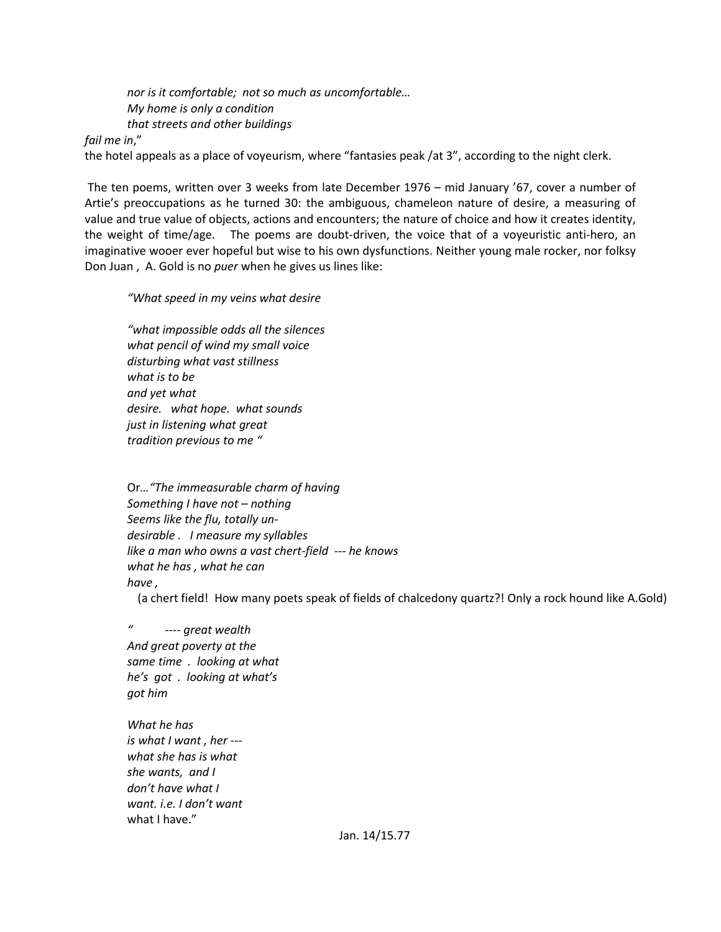*nor is it comfortable; not so much as uncomfortable… My home is only a condition that streets and other buildings*

*fail me in*,"

the hotel appeals as a place of voyeurism, where "fantasies peak /at 3", according to the night clerk.

The ten poems, written over 3 weeks from late December 1976 – mid January '67, cover a number of Artie's preoccupations as he turned 30: the ambiguous, chameleon nature of desire, a measuring of value and true value of objects, actions and encounters; the nature of choice and how it creates identity, the weight of time/age. The poems are doubt-driven, the voice that of a voyeuristic anti-hero, an imaginative wooer ever hopeful but wise to his own dysfunctions. Neither young male rocker, nor folksy Don Juan , A. Gold is no *puer* when he gives us lines like:

*"What speed in my veins what desire*

*"what impossible odds all the silences what pencil of wind my small voice disturbing what vast stillness what is to be and yet what desire. what hope. what sounds just in listening what great tradition previous to me "*

Or*…"The immeasurable charm of having Something I have not – nothing Seems like the flu, totally undesirable . I measure my syllables like a man who owns a vast chert-field --- he knows what he has , what he can have ,*

(a chert field! How many poets speak of fields of chalcedony quartz?! Only a rock hound like A.Gold)

*" ---- great wealth And great poverty at the same time . looking at what he's got . looking at what's got him* 

*What he has is what I want , her -- what she has is what she wants, and I don't have what I want. i.e. I don't want* what I have."

Jan. 14/15.77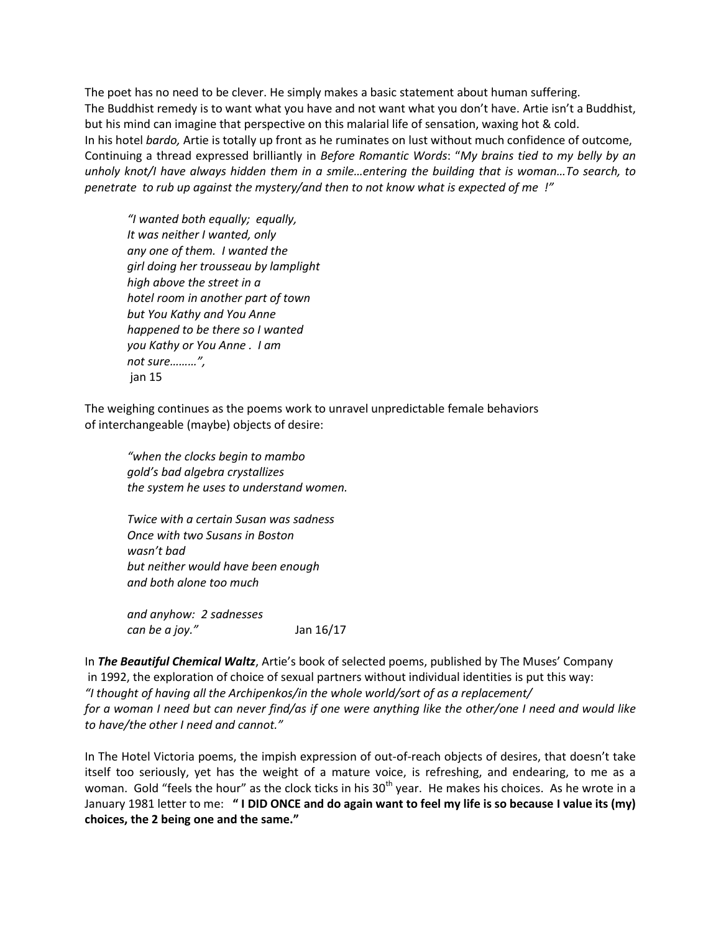The poet has no need to be clever. He simply makes a basic statement about human suffering. The Buddhist remedy is to want what you have and not want what you don't have. Artie isn't a Buddhist, but his mind can imagine that perspective on this malarial life of sensation, waxing hot & cold. In his hotel *bardo,* Artie is totally up front as he ruminates on lust without much confidence of outcome, Continuing a thread expressed brilliantly in *Before Romantic Words*: "*My brains tied to my belly by an unholy knot/I have always hidden them in a smile…entering the building that is woman…To search, to penetrate to rub up against the mystery/and then to not know what is expected of me !"* 

*"I wanted both equally; equally, It was neither I wanted, only any one of them. I wanted the girl doing her trousseau by lamplight high above the street in a hotel room in another part of town but You Kathy and You Anne happened to be there so I wanted you Kathy or You Anne . I am not sure………",* jan 15

The weighing continues as the poems work to unravel unpredictable female behaviors of interchangeable (maybe) objects of desire:

*"when the clocks begin to mambo gold's bad algebra crystallizes the system he uses to understand women.*

*Twice with a certain Susan was sadness Once with two Susans in Boston wasn't bad but neither would have been enough and both alone too much*

*and anyhow: 2 sadnesses can be a joy."* Jan 16/17

In *The Beautiful Chemical Waltz*, Artie's book of selected poems, published by The Muses' Company in 1992, the exploration of choice of sexual partners without individual identities is put this way: *"I thought of having all the Archipenkos/in the whole world/sort of as a replacement/ for a woman I need but can never find/as if one were anything like the other/one I need and would like to have/the other I need and cannot."*

In The Hotel Victoria poems, the impish expression of out-of-reach objects of desires, that doesn't take itself too seriously, yet has the weight of a mature voice, is refreshing, and endearing, to me as a woman. Gold "feels the hour" as the clock ticks in his  $30<sup>th</sup>$  year. He makes his choices. As he wrote in a January 1981 letter to me: **" I DID ONCE and do again want to feel my life is so because I value its (my) choices, the 2 being one and the same."**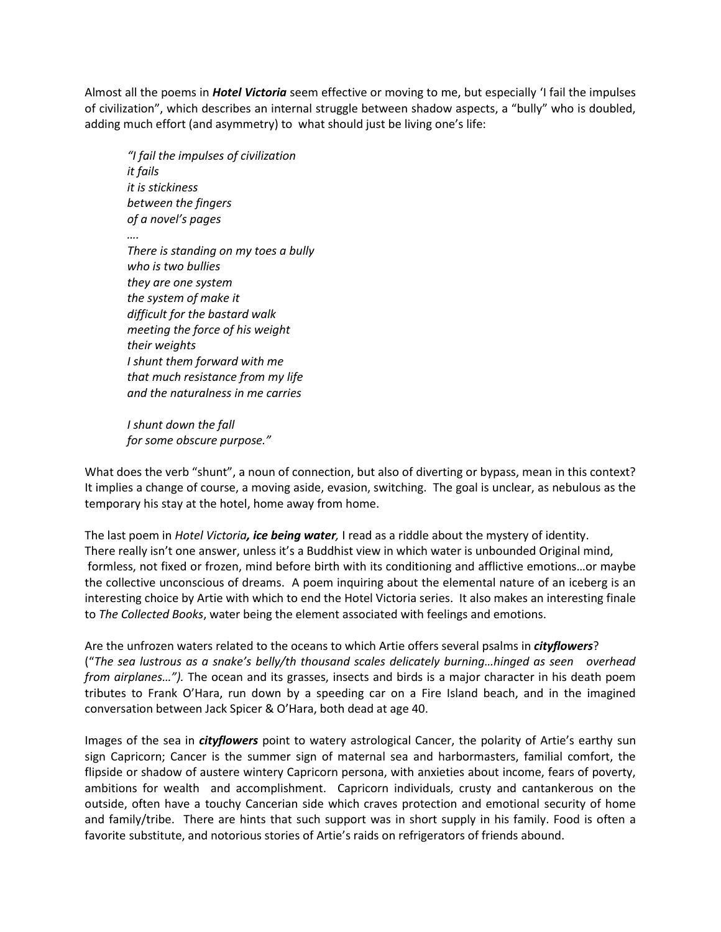Almost all the poems in *Hotel Victoria* seem effective or moving to me, but especially 'I fail the impulses of civilization", which describes an internal struggle between shadow aspects, a "bully" who is doubled, adding much effort (and asymmetry) to what should just be living one's life:

*"I fail the impulses of civilization it fails it is stickiness between the fingers of a novel's pages …. There is standing on my toes a bully who is two bullies they are one system the system of make it difficult for the bastard walk meeting the force of his weight their weights I shunt them forward with me that much resistance from my life and the naturalness in me carries*

*I shunt down the fall for some obscure purpose."*

What does the verb "shunt", a noun of connection, but also of diverting or bypass, mean in this context? It implies a change of course, a moving aside, evasion, switching. The goal is unclear, as nebulous as the temporary his stay at the hotel, home away from home.

The last poem in *Hotel Victoria, ice being water,* I read as a riddle about the mystery of identity. There really isn't one answer, unless it's a Buddhist view in which water is unbounded Original mind, formless, not fixed or frozen, mind before birth with its conditioning and afflictive emotions…or maybe the collective unconscious of dreams. A poem inquiring about the elemental nature of an iceberg is an interesting choice by Artie with which to end the Hotel Victoria series. It also makes an interesting finale to *The Collected Books*, water being the element associated with feelings and emotions.

Are the unfrozen waters related to the oceans to which Artie offers several psalms in *cityflowers*? ("*The sea lustrous as a snake's belly/th thousand scales delicately burning…hinged as seen overhead from airplanes…").* The ocean and its grasses, insects and birds is a major character in his death poem tributes to Frank O'Hara, run down by a speeding car on a Fire Island beach, and in the imagined conversation between Jack Spicer & O'Hara, both dead at age 40.

Images of the sea in *cityflowers* point to watery astrological Cancer, the polarity of Artie's earthy sun sign Capricorn; Cancer is the summer sign of maternal sea and harbormasters, familial comfort, the flipside or shadow of austere wintery Capricorn persona, with anxieties about income, fears of poverty, ambitions for wealth and accomplishment. Capricorn individuals, crusty and cantankerous on the outside, often have a touchy Cancerian side which craves protection and emotional security of home and family/tribe. There are hints that such support was in short supply in his family. Food is often a favorite substitute, and notorious stories of Artie's raids on refrigerators of friends abound.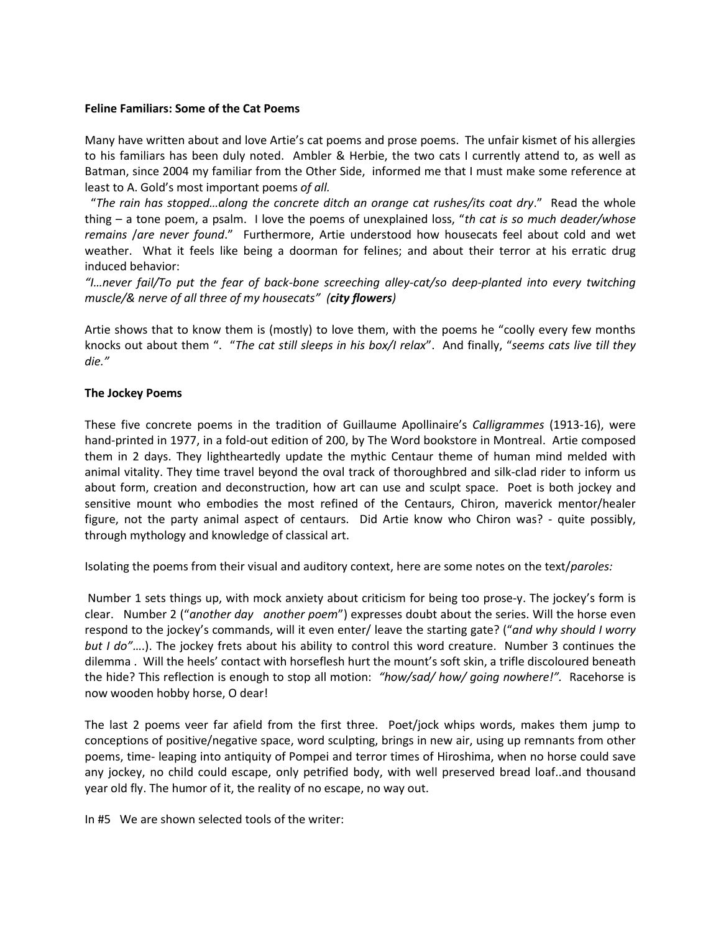#### **Feline Familiars: Some of the Cat Poems**

Many have written about and love Artie's cat poems and prose poems. The unfair kismet of his allergies to his familiars has been duly noted. Ambler & Herbie, the two cats I currently attend to, as well as Batman, since 2004 my familiar from the Other Side, informed me that I must make some reference at least to A. Gold's most important poems *of all.*

 "*The rain has stopped…along the concrete ditch an orange cat rushes/its coat dry*." Read the whole thing – a tone poem, a psalm. I love the poems of unexplained loss, "*th cat is so much deader/whose remains* /*are never found*." Furthermore, Artie understood how housecats feel about cold and wet weather. What it feels like being a doorman for felines; and about their terror at his erratic drug induced behavior:

*"I…never fail/To put the fear of back-bone screeching alley-cat/so deep-planted into every twitching muscle/& nerve of all three of my housecats" (city flowers)*

Artie shows that to know them is (mostly) to love them, with the poems he "coolly every few months knocks out about them ". "*The cat still sleeps in his box/I relax*". And finally, "*seems cats live till they die."* 

#### **The Jockey Poems**

These five concrete poems in the tradition of Guillaume Apollinaire's *Calligrammes* (1913-16), were hand-printed in 1977, in a fold-out edition of 200, by The Word bookstore in Montreal. Artie composed them in 2 days. They lightheartedly update the mythic Centaur theme of human mind melded with animal vitality. They time travel beyond the oval track of thoroughbred and silk-clad rider to inform us about form, creation and deconstruction, how art can use and sculpt space. Poet is both jockey and sensitive mount who embodies the most refined of the Centaurs, Chiron, maverick mentor/healer figure, not the party animal aspect of centaurs. Did Artie know who Chiron was? - quite possibly, through mythology and knowledge of classical art.

Isolating the poems from their visual and auditory context, here are some notes on the text/*paroles:*

Number 1 sets things up, with mock anxiety about criticism for being too prose-y. The jockey's form is clear. Number 2 ("*another day another poem*") expresses doubt about the series. Will the horse even respond to the jockey's commands, will it even enter/ leave the starting gate? ("*and why should I worry but I do"*….). The jockey frets about his ability to control this word creature. Number 3 continues the dilemma . Will the heels' contact with horseflesh hurt the mount's soft skin, a trifle discoloured beneath the hide? This reflection is enough to stop all motion: *"how/sad/ how/ going nowhere!".* Racehorse is now wooden hobby horse, O dear!

The last 2 poems veer far afield from the first three. Poet/jock whips words, makes them jump to conceptions of positive/negative space, word sculpting, brings in new air, using up remnants from other poems, time- leaping into antiquity of Pompei and terror times of Hiroshima, when no horse could save any jockey, no child could escape, only petrified body, with well preserved bread loaf..and thousand year old fly. The humor of it, the reality of no escape, no way out.

In #5 We are shown selected tools of the writer: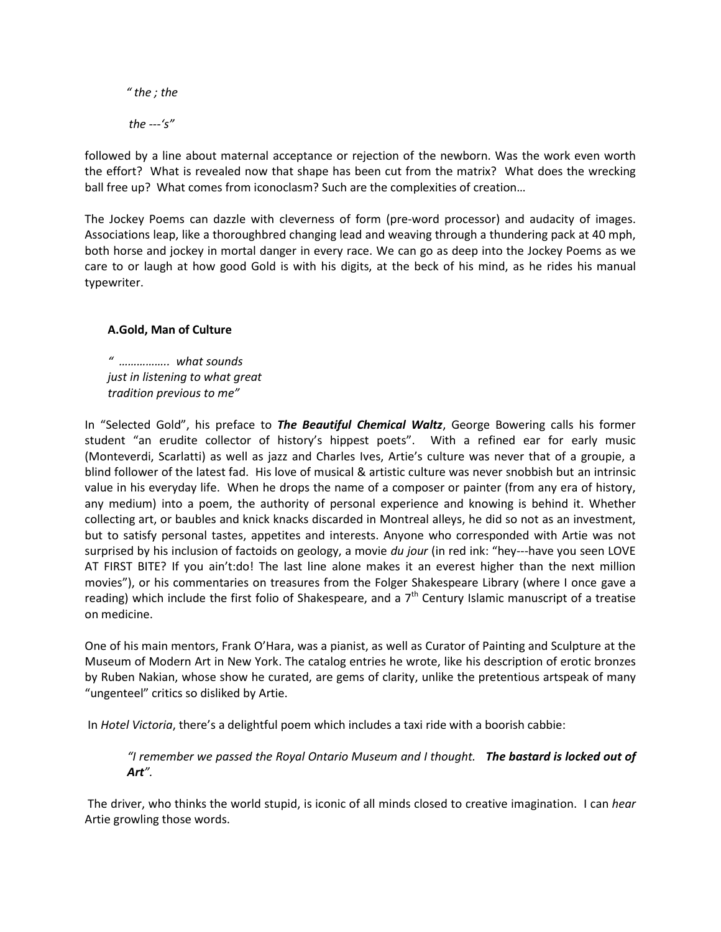*" the ; the the ---'s"*

followed by a line about maternal acceptance or rejection of the newborn. Was the work even worth the effort? What is revealed now that shape has been cut from the matrix? What does the wrecking ball free up? What comes from iconoclasm? Such are the complexities of creation…

The Jockey Poems can dazzle with cleverness of form (pre-word processor) and audacity of images. Associations leap, like a thoroughbred changing lead and weaving through a thundering pack at 40 mph, both horse and jockey in mortal danger in every race. We can go as deep into the Jockey Poems as we care to or laugh at how good Gold is with his digits, at the beck of his mind, as he rides his manual typewriter.

# **A.Gold, Man of Culture**

*" …………….. what sounds just in listening to what great tradition previous to me"*

In "Selected Gold", his preface to *The Beautiful Chemical Waltz*, George Bowering calls his former student "an erudite collector of history's hippest poets". With a refined ear for early music (Monteverdi, Scarlatti) as well as jazz and Charles Ives, Artie's culture was never that of a groupie, a blind follower of the latest fad. His love of musical & artistic culture was never snobbish but an intrinsic value in his everyday life. When he drops the name of a composer or painter (from any era of history, any medium) into a poem, the authority of personal experience and knowing is behind it. Whether collecting art, or baubles and knick knacks discarded in Montreal alleys, he did so not as an investment, but to satisfy personal tastes, appetites and interests. Anyone who corresponded with Artie was not surprised by his inclusion of factoids on geology, a movie *du jour* (in red ink: "hey---have you seen LOVE AT FIRST BITE? If you ain't:do! The last line alone makes it an everest higher than the next million movies"), or his commentaries on treasures from the Folger Shakespeare Library (where I once gave a reading) which include the first folio of Shakespeare, and a  $7<sup>th</sup>$  Century Islamic manuscript of a treatise on medicine.

One of his main mentors, Frank O'Hara, was a pianist, as well as Curator of Painting and Sculpture at the Museum of Modern Art in New York. The catalog entries he wrote, like his description of erotic bronzes by Ruben Nakian, whose show he curated, are gems of clarity, unlike the pretentious artspeak of many "ungenteel" critics so disliked by Artie.

In *Hotel Victoria*, there's a delightful poem which includes a taxi ride with a boorish cabbie:

*"I remember we passed the Royal Ontario Museum and I thought. The bastard is locked out of Art".* 

The driver, who thinks the world stupid, is iconic of all minds closed to creative imagination. I can *hear* Artie growling those words.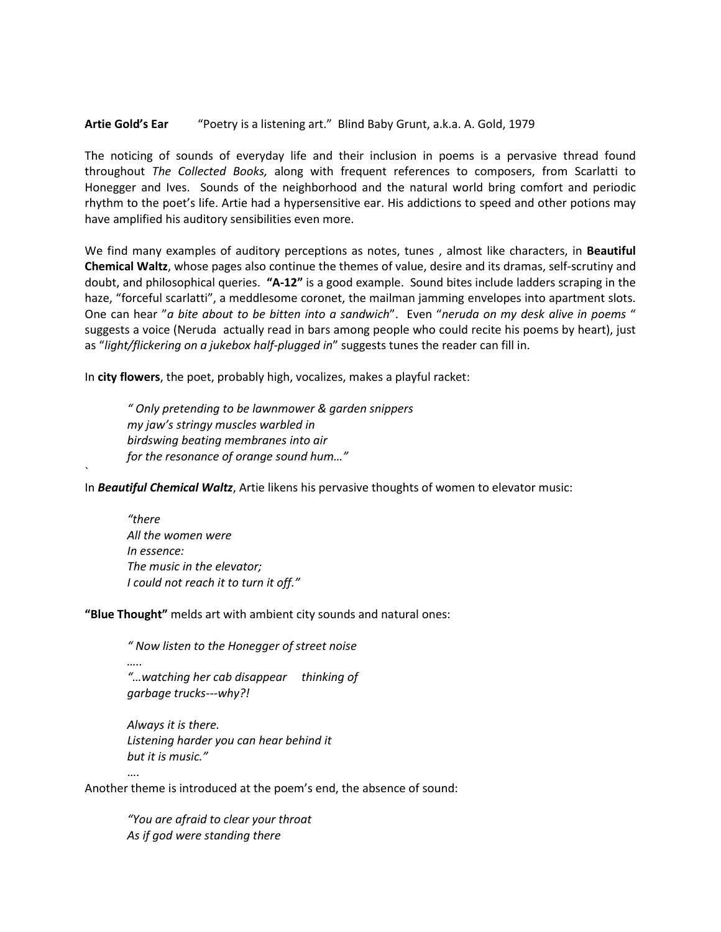#### **Artie Gold's Ear** "Poetry is a listening art." Blind Baby Grunt, a.k.a. A. Gold, 1979

The noticing of sounds of everyday life and their inclusion in poems is a pervasive thread found throughout *The Collected Books,* along with frequent references to composers, from Scarlatti to Honegger and Ives. Sounds of the neighborhood and the natural world bring comfort and periodic rhythm to the poet's life. Artie had a hypersensitive ear. His addictions to speed and other potions may have amplified his auditory sensibilities even more.

We find many examples of auditory perceptions as notes, tunes , almost like characters, in **Beautiful Chemical Waltz**, whose pages also continue the themes of value, desire and its dramas, self-scrutiny and doubt, and philosophical queries. **"A-12"** is a good example. Sound bites include ladders scraping in the haze, "forceful scarlatti", a meddlesome coronet, the mailman jamming envelopes into apartment slots. One can hear "*a bite about to be bitten into a sandwich*". Even "*neruda on my desk alive in poems* " suggests a voice (Neruda actually read in bars among people who could recite his poems by heart), just as "*light/flickering on a jukebox half-plugged in*" suggests tunes the reader can fill in.

In **city flowers**, the poet, probably high, vocalizes, makes a playful racket:

*" Only pretending to be lawnmower & garden snippers my jaw's stringy muscles warbled in birdswing beating membranes into air for the resonance of orange sound hum…"*

In *Beautiful Chemical Waltz*, Artie likens his pervasive thoughts of women to elevator music:

*"there All the women were In essence: The music in the elevator; I could not reach it to turn it off."*

`

**"Blue Thought"** melds art with ambient city sounds and natural ones:

*" Now listen to the Honegger of street noise ….. "…watching her cab disappear thinking of garbage trucks---why?!*

*Always it is there. Listening harder you can hear behind it but it is music."*

Another theme is introduced at the poem's end, the absence of sound:

*"You are afraid to clear your throat As if god were standing there*

….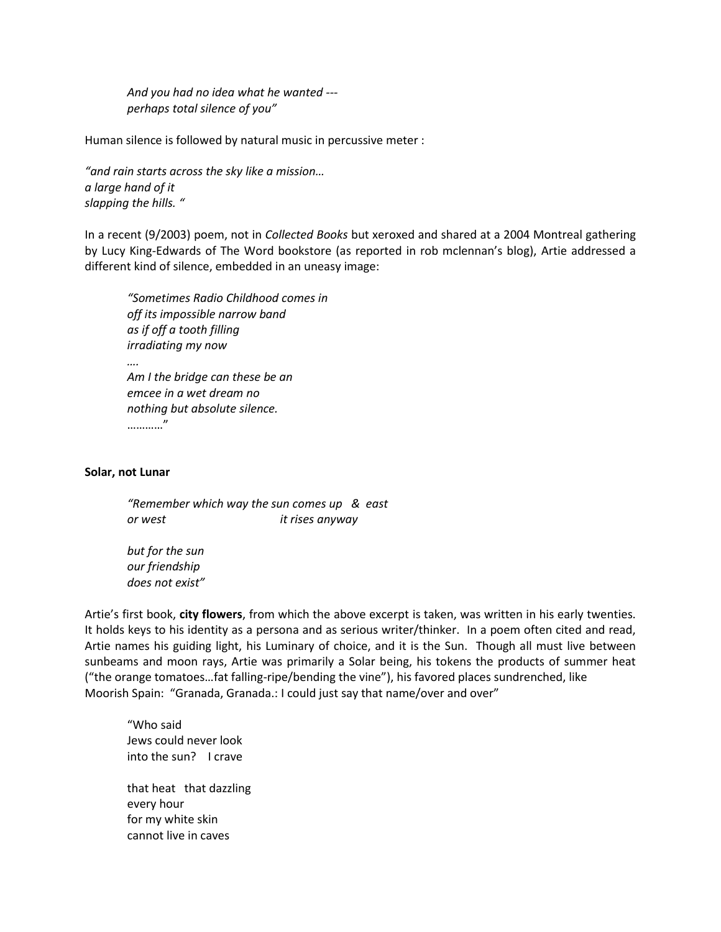*And you had no idea what he wanted -- perhaps total silence of you"*

Human silence is followed by natural music in percussive meter :

*"and rain starts across the sky like a mission… a large hand of it slapping the hills. "*

In a recent (9/2003) poem, not in *Collected Books* but xeroxed and shared at a 2004 Montreal gathering by Lucy King-Edwards of The Word bookstore (as reported in rob mclennan's blog), Artie addressed a different kind of silence, embedded in an uneasy image:

*"Sometimes Radio Childhood comes in off its impossible narrow band as if off a tooth filling irradiating my now …. Am I the bridge can these be an emcee in a wet dream no nothing but absolute silence.* …………"

#### **Solar, not Lunar**

*"Remember which way the sun comes up & east or west it rises anyway*

*but for the sun our friendship does not exist"*

Artie's first book, **city flowers**, from which the above excerpt is taken, was written in his early twenties. It holds keys to his identity as a persona and as serious writer/thinker. In a poem often cited and read, Artie names his guiding light, his Luminary of choice, and it is the Sun. Though all must live between sunbeams and moon rays, Artie was primarily a Solar being, his tokens the products of summer heat ("the orange tomatoes…fat falling-ripe/bending the vine"), his favored places sundrenched, like Moorish Spain: "Granada, Granada.: I could just say that name/over and over"

"Who said Jews could never look into the sun? I crave that heat that dazzling every hour for my white skin cannot live in caves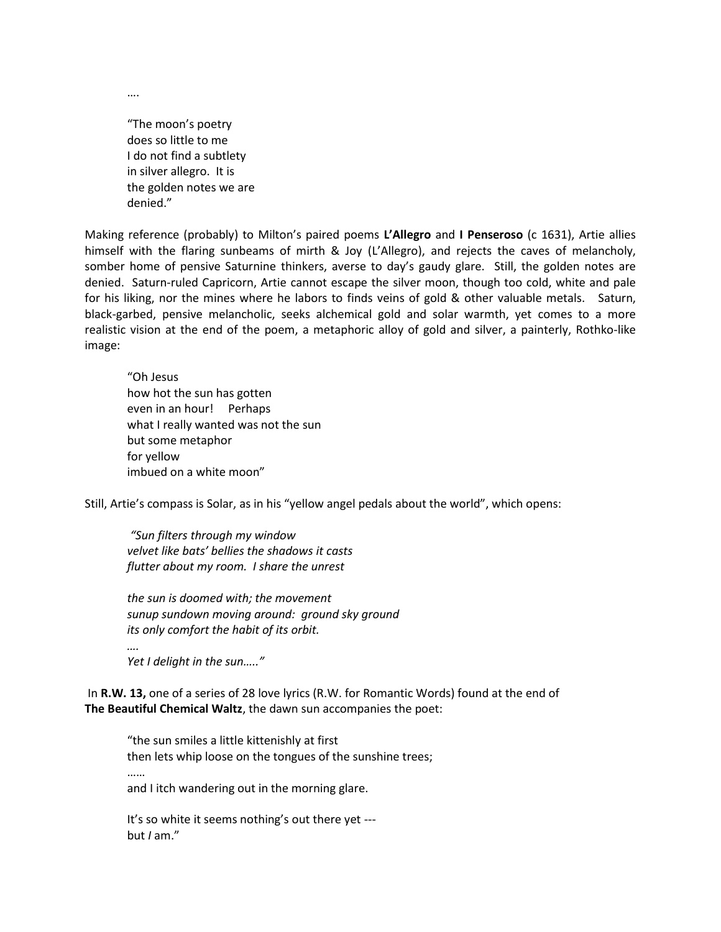….

"The moon's poetry does so little to me I do not find a subtlety in silver allegro. It is the golden notes we are denied."

Making reference (probably) to Milton's paired poems **L'Allegro** and **I Penseroso** (c 1631), Artie allies himself with the flaring sunbeams of mirth & Joy (L'Allegro), and rejects the caves of melancholy, somber home of pensive Saturnine thinkers, averse to day's gaudy glare. Still, the golden notes are denied. Saturn-ruled Capricorn, Artie cannot escape the silver moon, though too cold, white and pale for his liking, nor the mines where he labors to finds veins of gold & other valuable metals. Saturn, black-garbed, pensive melancholic, seeks alchemical gold and solar warmth, yet comes to a more realistic vision at the end of the poem, a metaphoric alloy of gold and silver, a painterly, Rothko-like image:

"Oh Jesus how hot the sun has gotten even in an hour! Perhaps what I really wanted was not the sun but some metaphor for yellow imbued on a white moon"

Still, Artie's compass is Solar, as in his "yellow angel pedals about the world", which opens:

*"Sun filters through my window velvet like bats' bellies the shadows it casts flutter about my room. I share the unrest*

*the sun is doomed with; the movement sunup sundown moving around: ground sky ground its only comfort the habit of its orbit. ….*

*Yet I delight in the sun….."*

In **R.W. 13,** one of a series of 28 love lyrics (R.W. for Romantic Words) found at the end of **The Beautiful Chemical Waltz**, the dawn sun accompanies the poet:

"the sun smiles a little kittenishly at first then lets whip loose on the tongues of the sunshine trees; ……

and I itch wandering out in the morning glare.

It's so white it seems nothing's out there yet -- but *I* am."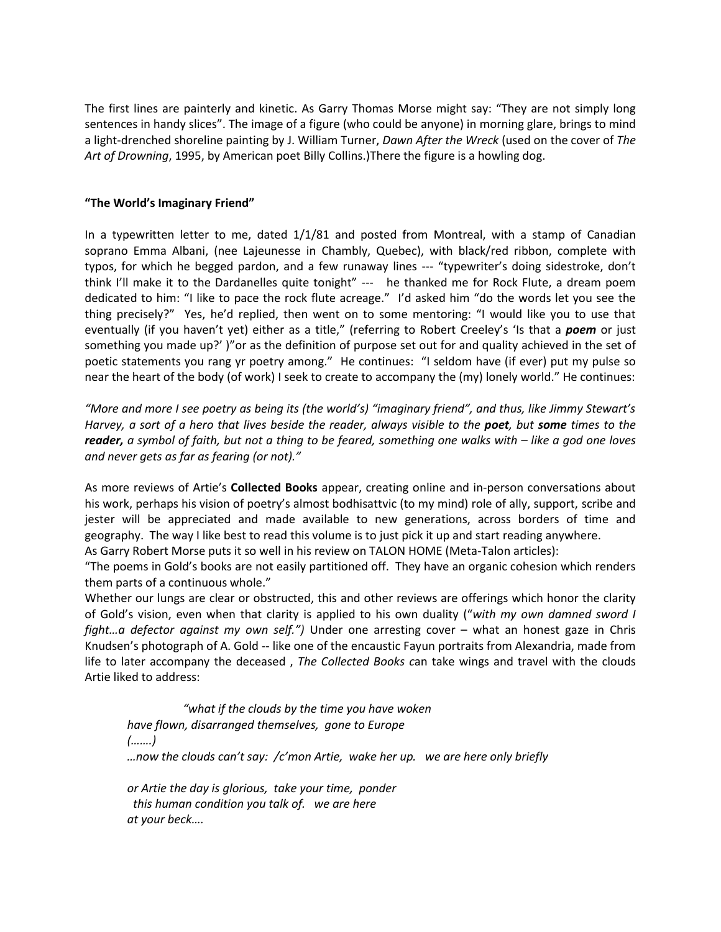The first lines are painterly and kinetic. As Garry Thomas Morse might say: "They are not simply long sentences in handy slices". The image of a figure (who could be anyone) in morning glare, brings to mind a light-drenched shoreline painting by J. William Turner, *Dawn After the Wreck* (used on the cover of *The Art of Drowning*, 1995, by American poet Billy Collins.)There the figure is a howling dog.

### **"The World's Imaginary Friend"**

In a typewritten letter to me, dated 1/1/81 and posted from Montreal, with a stamp of Canadian soprano Emma Albani, (nee Lajeunesse in Chambly, Quebec), with black/red ribbon, complete with typos, for which he begged pardon, and a few runaway lines --- "typewriter's doing sidestroke, don't think I'll make it to the Dardanelles quite tonight" --- he thanked me for Rock Flute, a dream poem dedicated to him: "I like to pace the rock flute acreage." I'd asked him "do the words let you see the thing precisely?" Yes, he'd replied, then went on to some mentoring: "I would like you to use that eventually (if you haven't yet) either as a title," (referring to Robert Creeley's 'Is that a *poem* or just something you made up?' )"or as the definition of purpose set out for and quality achieved in the set of poetic statements you rang yr poetry among." He continues: "I seldom have (if ever) put my pulse so near the heart of the body (of work) I seek to create to accompany the (my) lonely world." He continues:

*"More and more I see poetry as being its (the world's) "imaginary friend", and thus, like Jimmy Stewart's Harvey, a sort of a hero that lives beside the reader, always visible to the poet, but some times to the reader, a symbol of faith, but not a thing to be feared, something one walks with – like a god one loves and never gets as far as fearing (or not)."*

As more reviews of Artie's **Collected Books** appear, creating online and in-person conversations about his work, perhaps his vision of poetry's almost bodhisattvic (to my mind) role of ally, support, scribe and jester will be appreciated and made available to new generations, across borders of time and geography. The way I like best to read this volume is to just pick it up and start reading anywhere.

As Garry Robert Morse puts it so well in his review on TALON HOME (Meta-Talon articles):

"The poems in Gold's books are not easily partitioned off. They have an organic cohesion which renders them parts of a continuous whole."

Whether our lungs are clear or obstructed, this and other reviews are offerings which honor the clarity of Gold's vision, even when that clarity is applied to his own duality ("*with my own damned sword I fight…a defector against my own self.")* Under one arresting cover – what an honest gaze in Chris Knudsen's photograph of A. Gold -- like one of the encaustic Fayun portraits from Alexandria, made from life to later accompany the deceased , *The Collected Books c*an take wings and travel with the clouds Artie liked to address:

 *"what if the clouds by the time you have woken have flown, disarranged themselves, gone to Europe (…….) …now the clouds can't say: /c'mon Artie, wake her up. we are here only briefly or Artie the day is glorious, take your time, ponder*

 *this human condition you talk of. we are here at your beck….*